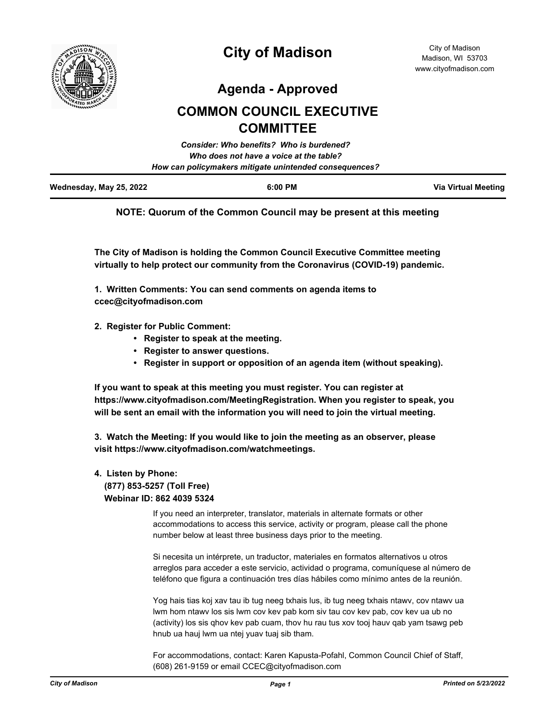

**Agenda - Approved**

# **COMMON COUNCIL EXECUTIVE COMMITTEE**

|                         | Consider: Who benefits? Who is burdened?               |                     |
|-------------------------|--------------------------------------------------------|---------------------|
|                         | Who does not have a voice at the table?                |                     |
|                         | How can policymakers mitigate unintended consequences? |                     |
| Wednesday, May 25, 2022 | $6:00$ PM                                              | Via Virtual Meeting |

# **NOTE: Quorum of the Common Council may be present at this meeting**

**The City of Madison is holding the Common Council Executive Committee meeting virtually to help protect our community from the Coronavirus (COVID-19) pandemic.**

**1. Written Comments: You can send comments on agenda items to ccec@cityofmadison.com**

- **2. Register for Public Comment:** 
	- **Register to speak at the meeting.**
	- **Register to answer questions.**
	- **Register in support or opposition of an agenda item (without speaking).**

**If you want to speak at this meeting you must register. You can register at https://www.cityofmadison.com/MeetingRegistration. When you register to speak, you will be sent an email with the information you will need to join the virtual meeting.**

**3. Watch the Meeting: If you would like to join the meeting as an observer, please visit https://www.cityofmadison.com/watchmeetings.**

# **4. Listen by Phone: (877) 853-5257 (Toll Free)**

 **Webinar ID: 862 4039 5324**

If you need an interpreter, translator, materials in alternate formats or other accommodations to access this service, activity or program, please call the phone number below at least three business days prior to the meeting.

Si necesita un intérprete, un traductor, materiales en formatos alternativos u otros arreglos para acceder a este servicio, actividad o programa, comuníquese al número de teléfono que figura a continuación tres días hábiles como mínimo antes de la reunión.

Yog hais tias koj xav tau ib tug neeg txhais lus, ib tug neeg txhais ntawv, cov ntawv ua lwm hom ntawv los sis lwm cov kev pab kom siv tau cov kev pab, cov kev ua ub no (activity) los sis qhov kev pab cuam, thov hu rau tus xov tooj hauv qab yam tsawg peb hnub ua hauj lwm ua ntej yuav tuaj sib tham.

For accommodations, contact: Karen Kapusta-Pofahl, Common Council Chief of Staff, (608) 261-9159 or email CCEC@cityofmadison.com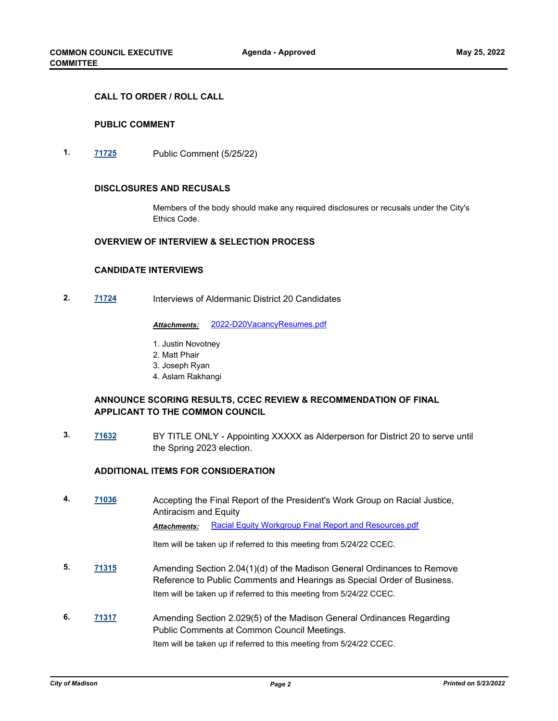#### **CALL TO ORDER / ROLL CALL**

#### **PUBLIC COMMENT**

**1. [71725](http://madison.legistar.com/gateway.aspx?m=l&id=/matter.aspx?key=83587)** Public Comment (5/25/22)

#### **DISCLOSURES AND RECUSALS**

Members of the body should make any required disclosures or recusals under the City's Ethics Code.

#### **OVERVIEW OF INTERVIEW & SELECTION PROCESS**

# **CANDIDATE INTERVIEWS**

**2. [71724](http://madison.legistar.com/gateway.aspx?m=l&id=/matter.aspx?key=83586)** Interviews of Aldermanic District 20 Candidates

*Attachments:* [2022-D20VacancyResumes.pdf](http://madison.legistar.com/gateway.aspx?M=F&ID=3d81db31-5bad-4a3c-9118-d3e7a2ffcc7d.pdf)

- 1. Justin Novotney
- 2. Matt Phair
- 3. Joseph Ryan
- 4. Aslam Rakhangi

# **ANNOUNCE SCORING RESULTS, CCEC REVIEW & RECOMMENDATION OF FINAL APPLICANT TO THE COMMON COUNCIL**

**3. [71632](http://madison.legistar.com/gateway.aspx?m=l&id=/matter.aspx?key=83502)** BY TITLE ONLY - Appointing XXXXX as Alderperson for District 20 to serve until the Spring 2023 election.

#### **ADDITIONAL ITEMS FOR CONSIDERATION**

**4. [71036](http://madison.legistar.com/gateway.aspx?m=l&id=/matter.aspx?key=82996)** Accepting the Final Report of the President's Work Group on Racial Justice, Antiracism and Equity Attachments: [Racial Equity Workgroup Final Report and Resources.pdf](http://madison.legistar.com/gateway.aspx?M=F&ID=91b614d5-2cbd-4c7b-805f-aac531b0252a.pdf)

Item will be taken up if referred to this meeting from 5/24/22 CCEC.

- **5. [71315](http://madison.legistar.com/gateway.aspx?m=l&id=/matter.aspx?key=83254)** Amending Section 2.04(1)(d) of the Madison General Ordinances to Remove Reference to Public Comments and Hearings as Special Order of Business. Item will be taken up if referred to this meeting from 5/24/22 CCEC.
- **6. [71317](http://madison.legistar.com/gateway.aspx?m=l&id=/matter.aspx?key=83256)** Amending Section 2.029(5) of the Madison General Ordinances Regarding Public Comments at Common Council Meetings.

Item will be taken up if referred to this meeting from 5/24/22 CCEC.